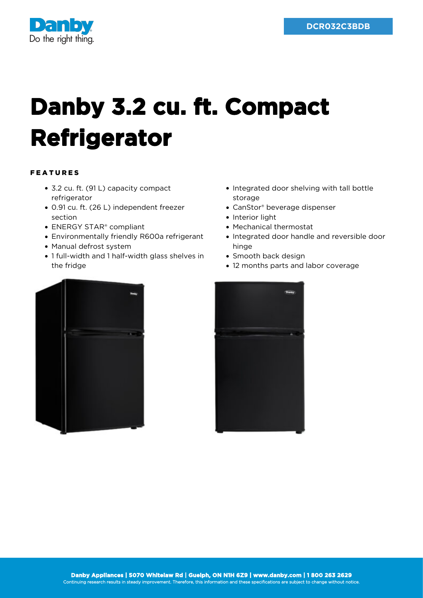

## **Danby 3.2 cu. ft. Compact Refrigerator**

## FEATURES

- 3.2 cu. ft. (91 L) capacity compact refrigerator
- 0.91 cu. ft. (26 L) independent freezer section
- ENERGY STAR® compliant
- Environmentally friendly R600a refrigerant
- Manual defrost system
- 1 full-width and 1 half-width glass shelves in the fridge
- Integrated door shelving with tall bottle storage
- CanStor® beverage dispenser
- Interior light
- Mechanical thermostat
- Integrated door handle and reversible door hinge
- Smooth back design
- 12 months parts and labor coverage